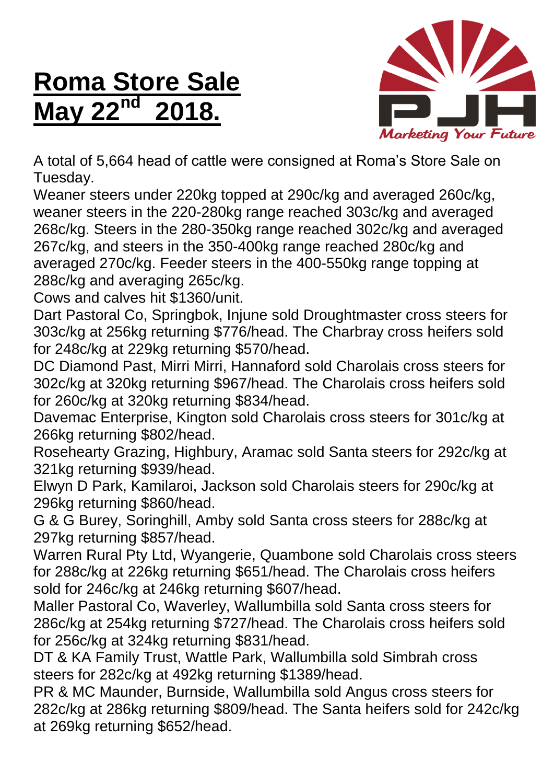## **Roma Store Sale May 22nd 2018.**



A total of 5,664 head of cattle were consigned at Roma's Store Sale on Tuesday.

Weaner steers under 220kg topped at 290c/kg and averaged 260c/kg, weaner steers in the 220-280kg range reached 303c/kg and averaged 268c/kg. Steers in the 280-350kg range reached 302c/kg and averaged 267c/kg, and steers in the 350-400kg range reached 280c/kg and averaged 270c/kg. Feeder steers in the 400-550kg range topping at 288c/kg and averaging 265c/kg.

Cows and calves hit \$1360/unit.

Dart Pastoral Co, Springbok, Injune sold Droughtmaster cross steers for 303c/kg at 256kg returning \$776/head. The Charbray cross heifers sold for 248c/kg at 229kg returning \$570/head.

DC Diamond Past, Mirri Mirri, Hannaford sold Charolais cross steers for 302c/kg at 320kg returning \$967/head. The Charolais cross heifers sold for 260c/kg at 320kg returning \$834/head.

Davemac Enterprise, Kington sold Charolais cross steers for 301c/kg at 266kg returning \$802/head.

Rosehearty Grazing, Highbury, Aramac sold Santa steers for 292c/kg at 321kg returning \$939/head.

Elwyn D Park, Kamilaroi, Jackson sold Charolais steers for 290c/kg at 296kg returning \$860/head.

G & G Burey, Soringhill, Amby sold Santa cross steers for 288c/kg at 297kg returning \$857/head.

Warren Rural Pty Ltd, Wyangerie, Quambone sold Charolais cross steers for 288c/kg at 226kg returning \$651/head. The Charolais cross heifers sold for 246c/kg at 246kg returning \$607/head.

Maller Pastoral Co, Waverley, Wallumbilla sold Santa cross steers for 286c/kg at 254kg returning \$727/head. The Charolais cross heifers sold for 256c/kg at 324kg returning \$831/head.

DT & KA Family Trust, Wattle Park, Wallumbilla sold Simbrah cross steers for 282c/kg at 492kg returning \$1389/head.

PR & MC Maunder, Burnside, Wallumbilla sold Angus cross steers for 282c/kg at 286kg returning \$809/head. The Santa heifers sold for 242c/kg at 269kg returning \$652/head.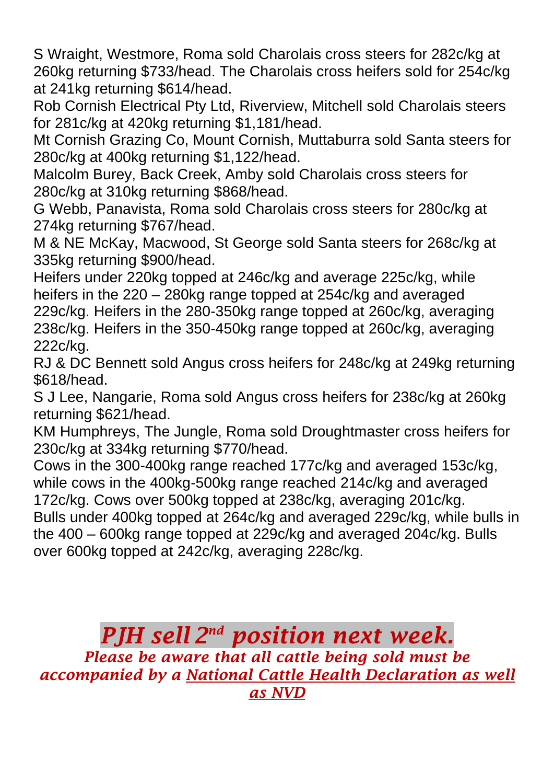S Wraight, Westmore, Roma sold Charolais cross steers for 282c/kg at 260kg returning \$733/head. The Charolais cross heifers sold for 254c/kg at 241kg returning \$614/head.

Rob Cornish Electrical Pty Ltd, Riverview, Mitchell sold Charolais steers for 281c/kg at 420kg returning \$1,181/head.

Mt Cornish Grazing Co, Mount Cornish, Muttaburra sold Santa steers for 280c/kg at 400kg returning \$1,122/head.

Malcolm Burey, Back Creek, Amby sold Charolais cross steers for 280c/kg at 310kg returning \$868/head.

G Webb, Panavista, Roma sold Charolais cross steers for 280c/kg at 274kg returning \$767/head.

M & NE McKay, Macwood, St George sold Santa steers for 268c/kg at 335kg returning \$900/head.

Heifers under 220kg topped at 246c/kg and average 225c/kg, while heifers in the 220 – 280kg range topped at 254c/kg and averaged 229c/kg. Heifers in the 280-350kg range topped at 260c/kg, averaging 238c/kg. Heifers in the 350-450kg range topped at 260c/kg, averaging 222c/kg.

RJ & DC Bennett sold Angus cross heifers for 248c/kg at 249kg returning \$618/head.

S J Lee, Nangarie, Roma sold Angus cross heifers for 238c/kg at 260kg returning \$621/head.

KM Humphreys, The Jungle, Roma sold Droughtmaster cross heifers for 230c/kg at 334kg returning \$770/head.

Cows in the 300-400kg range reached 177c/kg and averaged 153c/kg, while cows in the 400kg-500kg range reached 214c/kg and averaged

172c/kg. Cows over 500kg topped at 238c/kg, averaging 201c/kg. Bulls under 400kg topped at 264c/kg and averaged 229c/kg, while bulls in the 400 – 600kg range topped at 229c/kg and averaged 204c/kg. Bulls over 600kg topped at 242c/kg, averaging 228c/kg.

*PJH sell 2 nd position next week. Please be aware that all cattle being sold must be accompanied by a National Cattle Health Declaration as well as NVD*